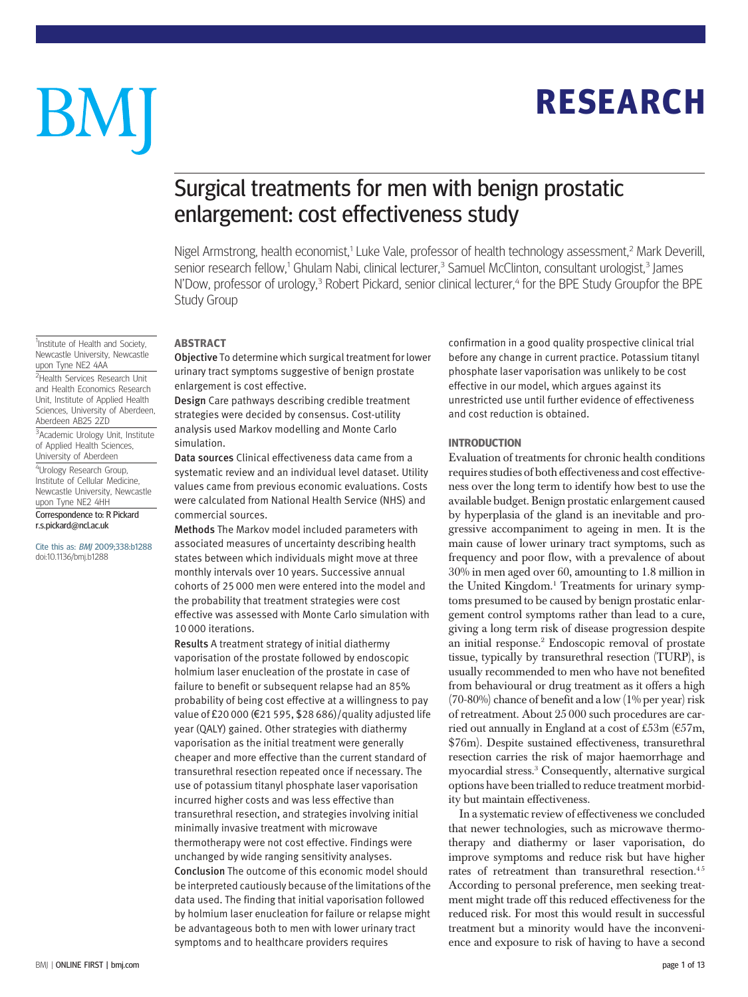## RESEARCH

# BM

### Surgical treatments for men with benign prostatic enlargement: cost effectiveness study

Nigel Armstrong, health economist,<sup>1</sup> Luke Vale, professor of health technology assessment,<sup>2</sup> Mark Deverill, senior research fellow,<sup>1</sup> Ghulam Nabi, clinical lecturer,<sup>3</sup> Samuel McClinton, consultant urologist,<sup>3</sup> James N'Dow, professor of urology,<sup>3</sup> Robert Pickard, senior clinical lecturer,<sup>4</sup> for the BPE Study Groupfor the BPE Study Group

#### ABSTRACT

Objective To determine which surgical treatment for lower urinary tract symptoms suggestive of benign prostate enlargement is cost effective.

Design Care pathways describing credible treatment strategies were decided by consensus. Cost-utility analysis used Markov modelling and Monte Carlo simulation.

Data sources Clinical effectiveness data came from a systematic review and an individual level dataset. Utility values came from previous economic evaluations. Costs were calculated from National Health Service (NHS) and commercial sources.

Methods The Markov model included parameters with associated measures of uncertainty describing health states between which individuals might move at three monthly intervals over 10 years. Successive annual cohorts of 25 000 men were entered into the model and the probability that treatment strategies were cost effective was assessed with Monte Carlo simulation with 10 000 iterations.

Results A treatment strategy of initial diathermy vaporisation of the prostate followed by endoscopic holmium laser enucleation of the prostate in case of failure to benefit or subsequent relapse had an 85% probability of being cost effective at a willingness to pay value of £20 000 (€21 595, \$28 686)/quality adjusted life year (QALY) gained. Other strategies with diathermy vaporisation as the initial treatment were generally cheaper and more effective than the current standard of transurethral resection repeated once if necessary. The use of potassium titanyl phosphate laser vaporisation incurred higher costs and was less effective than transurethral resection, and strategies involving initial minimally invasive treatment with microwave thermotherapy were not cost effective. Findings were unchanged by wide ranging sensitivity analyses. Conclusion The outcome of this economic model should be interpreted cautiously because of the limitations of the data used. The finding that initial vaporisation followed by holmium laser enucleation for failure or relapse might be advantageous both to men with lower urinary tract symptoms and to healthcare providers requires

confirmation in a good quality prospective clinical trial before any change in current practice. Potassium titanyl phosphate laser vaporisation was unlikely to be cost effective in our model, which argues against its unrestricted use until further evidence of effectiveness and cost reduction is obtained.

#### INTRODUCTION

Evaluation of treatments for chronic health conditions requires studies of both effectiveness and cost effectiveness over the long term to identify how best to use the available budget. Benign prostatic enlargement caused by hyperplasia of the gland is an inevitable and progressive accompaniment to ageing in men. It is the main cause of lower urinary tract symptoms, such as frequency and poor flow, with a prevalence of about 30% in men aged over 60, amounting to 1.8 million in the United Kingdom.<sup>1</sup> Treatments for urinary symptoms presumed to be caused by benign prostatic enlargement control symptoms rather than lead to a cure, giving a long term risk of disease progression despite an initial response.2 Endoscopic removal of prostate tissue, typically by transurethral resection (TURP), is usually recommended to men who have not benefited from behavioural or drug treatment as it offers a high (70-80%) chance of benefit and a low (1% per year) risk of retreatment. About 25 000 such procedures are carried out annually in England at a cost of £53m ( $657$ m, \$76m). Despite sustained effectiveness, transurethral resection carries the risk of major haemorrhage and myocardial stress.3 Consequently, alternative surgical options have been trialled to reduce treatment morbidity but maintain effectiveness.

In a systematic review of effectiveness we concluded that newer technologies, such as microwave thermotherapy and diathermy or laser vaporisation, do improve symptoms and reduce risk but have higher rates of retreatment than transurethral resection.<sup>45</sup> According to personal preference, men seeking treatment might trade off this reduced effectiveness for the reduced risk. For most this would result in successful treatment but a minority would have the inconvenience and exposure to risk of having to have a second

#### <sup>1</sup>Institute of Health and Society, Newcastle University, Newcastle upon Tyne NE2 4AA

<sup>2</sup>Health Services Research Unit and Health Economics Research Unit, Institute of Applied Health Sciences, University of Aberdeen, Aberdeen AB25 2ZD

<sup>3</sup>Academic Urology Unit, Institute of Applied Health Sciences, University of Aberdeen

4 Urology Research Group, Institute of Cellular Medicine, Newcastle University, Newcastle upon Tyne NE2 4HH

Correspondence to: R Pickard r.s.pickard@ncl.ac.uk

Cite this as: BMJ 2009;338:b1288 doi:10.1136/bmj.b1288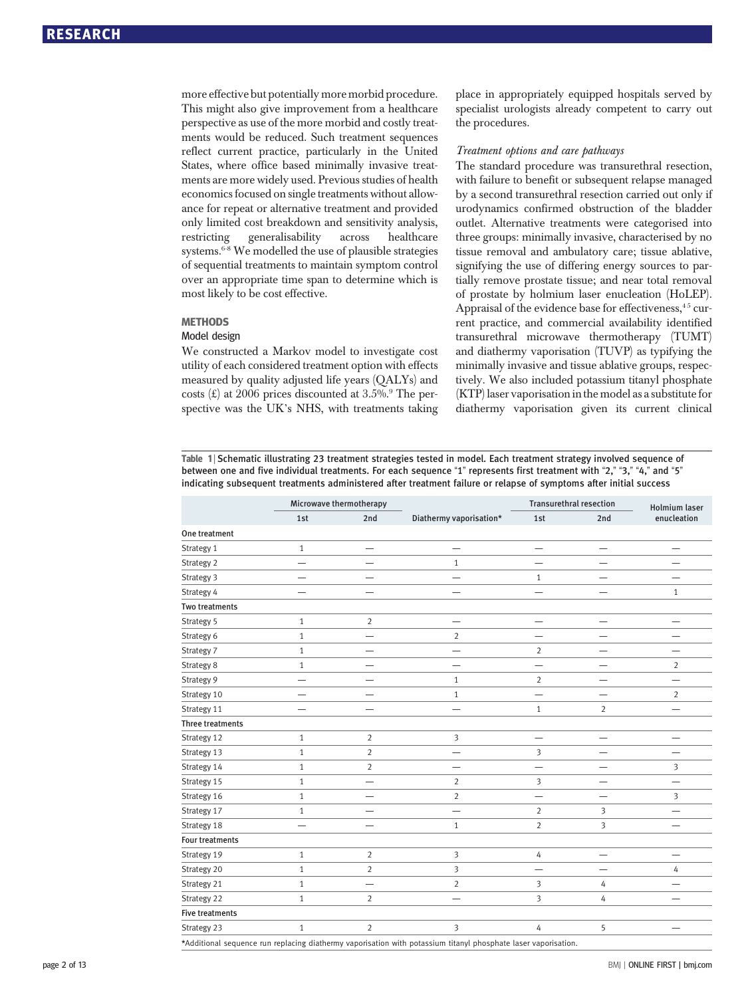more effective but potentially more morbid procedure. This might also give improvement from a healthcare perspective as use of the more morbid and costly treatments would be reduced. Such treatment sequences reflect current practice, particularly in the United States, where office based minimally invasive treatments are more widely used. Previous studies of health economics focused on single treatments without allowance for repeat or alternative treatment and provided only limited cost breakdown and sensitivity analysis, restricting generalisability across healthcare systems.<sup>6-8</sup> We modelled the use of plausible strategies of sequential treatments to maintain symptom control over an appropriate time span to determine which is most likely to be cost effective.

#### **METHODS**

#### Model design

We constructed a Markov model to investigate cost utility of each considered treatment option with effects measured by quality adjusted life years (QALYs) and costs  $(\text{\textsterling})$  at 2006 prices discounted at 3.5%.<sup>9</sup> The perspective was the UK's NHS, with treatments taking place in appropriately equipped hospitals served by specialist urologists already competent to carry out the procedures.

#### Treatment options and care pathways

The standard procedure was transurethral resection, with failure to benefit or subsequent relapse managed by a second transurethral resection carried out only if urodynamics confirmed obstruction of the bladder outlet. Alternative treatments were categorised into three groups: minimally invasive, characterised by no tissue removal and ambulatory care; tissue ablative, signifying the use of differing energy sources to partially remove prostate tissue; and near total removal of prostate by holmium laser enucleation (HoLEP). Appraisal of the evidence base for effectiveness,  $45$  current practice, and commercial availability identified transurethral microwave thermotherapy (TUMT) and diathermy vaporisation (TUVP) as typifying the minimally invasive and tissue ablative groups, respectively. We also included potassium titanyl phosphate (KTP) laser vaporisation in the model as a substitute for diathermy vaporisation given its current clinical

Table 1 <sup>|</sup> Schematic illustrating 23 treatment strategies tested in model. Each treatment strategy involved sequence of between one and five individual treatments. For each sequence "1" represents first treatment with "2," "3," "4," and "5" indicating subsequent treatments administered after treatment failure or relapse of symptoms after initial success

|                        | Microwave thermotherapy |                          |                         |                 | <b>Transurethral resection</b> | <b>Holmium laser</b> |  |
|------------------------|-------------------------|--------------------------|-------------------------|-----------------|--------------------------------|----------------------|--|
|                        | 1st                     | 2nd                      | Diathermy vaporisation* | 1st             | 2nd                            | enucleation          |  |
| One treatment          |                         |                          |                         |                 |                                |                      |  |
| Strategy 1             | $\mathbf{1}$            |                          | -                       |                 | $\qquad \qquad -$              |                      |  |
| Strategy 2             |                         |                          | $\mathbf{1}$            |                 |                                |                      |  |
| Strategy 3             |                         |                          |                         | $1\,$           |                                |                      |  |
| Strategy 4             |                         |                          |                         |                 |                                | $\mathbf{1}$         |  |
| Two treatments         |                         |                          |                         |                 |                                |                      |  |
| Strategy 5             | $\mathbf{1}$            | $\overline{2}$           | -                       | -               |                                |                      |  |
| Strategy 6             | $\mathbf{1}$            | -                        | $\overline{2}$          | -               | -                              |                      |  |
| Strategy 7             | $\mathbf{1}$            |                          |                         | $\overline{2}$  |                                |                      |  |
| Strategy 8             | $\mathbf{1}$            |                          |                         | -               |                                | $\overline{2}$       |  |
| Strategy 9             |                         |                          | $\mathbf{1}$            | $\overline{2}$  |                                |                      |  |
| Strategy 10            |                         |                          | $\mathbf{1}$            | -               |                                | $\overline{2}$       |  |
| Strategy 11            |                         |                          |                         | $\mathbf{1}$    | $\overline{2}$                 |                      |  |
| Three treatments       |                         |                          |                         |                 |                                |                      |  |
| Strategy 12            | $\mathbf{1}$            | $\overline{2}$           | 3                       |                 | $\overline{\phantom{0}}$       |                      |  |
| Strategy 13            | $\mathbf{1}$            | $\overline{2}$           |                         | 3               |                                |                      |  |
| Strategy 14            | $\mathbf{1}$            | $\overline{2}$           | -                       |                 |                                | 3                    |  |
| Strategy 15            | $\mathbf{1}$            | -                        | $\overline{2}$          | 3               |                                |                      |  |
| Strategy 16            | $\mathbf{1}$            |                          | $\overline{2}$          | $\qquad \qquad$ | —                              | 3                    |  |
| Strategy 17            | $\mathbf{1}$            |                          |                         | $\overline{2}$  | 3                              |                      |  |
| Strategy 18            |                         |                          | $\mathbf{1}$            | $\overline{2}$  | 3                              |                      |  |
| <b>Four treatments</b> |                         |                          |                         |                 |                                |                      |  |
| Strategy 19            | $\mathbf{1}$            | $\overline{2}$           | 3                       | 4               | -                              |                      |  |
| Strategy 20            | $\mathbf{1}$            | $\overline{2}$           | 3                       | -               |                                | 4                    |  |
| Strategy 21            | $\mathbf{1}$            | $\overline{\phantom{0}}$ | $\overline{2}$          | 3               | 4                              |                      |  |
| Strategy 22            | $\mathbf{1}$            | $\overline{2}$           | -                       | 3               | 4                              |                      |  |
| <b>Five treatments</b> |                         |                          |                         |                 |                                |                      |  |
| Strategy 23            | $\mathbf{1}$            | $\overline{2}$           | 3                       | 4               | 5                              |                      |  |

\*Additional sequence run replacing diathermy vaporisation with potassium titanyl phosphate laser vaporisation.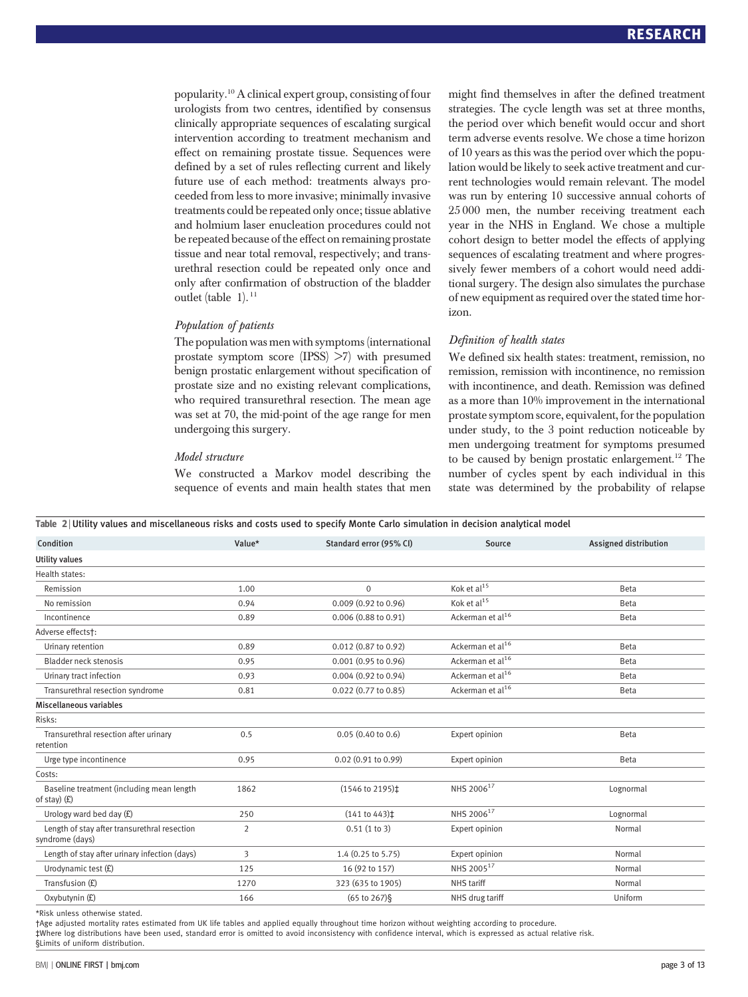popularity.10 A clinical expert group, consisting of four urologists from two centres, identified by consensus clinically appropriate sequences of escalating surgical intervention according to treatment mechanism and effect on remaining prostate tissue. Sequences were defined by a set of rules reflecting current and likely future use of each method: treatments always proceeded from less to more invasive; minimally invasive treatments could be repeated only once; tissue ablative and holmium laser enucleation procedures could not be repeated because of the effect on remaining prostate tissue and near total removal, respectively; and transurethral resection could be repeated only once and only after confirmation of obstruction of the bladder outlet (table 1).<sup>11</sup>

#### Population of patients

The population was men with symptoms (international prostate symptom score (IPSS) >7) with presumed benign prostatic enlargement without specification of prostate size and no existing relevant complications, who required transurethral resection. The mean age was set at 70, the mid-point of the age range for men undergoing this surgery.

#### Model structure

We constructed a Markov model describing the sequence of events and main health states that men might find themselves in after the defined treatment strategies. The cycle length was set at three months, the period over which benefit would occur and short term adverse events resolve. We chose a time horizon of 10 years as this was the period over which the population would be likely to seek active treatment and current technologies would remain relevant. The model was run by entering 10 successive annual cohorts of 25 000 men, the number receiving treatment each year in the NHS in England. We chose a multiple cohort design to better model the effects of applying sequences of escalating treatment and where progressively fewer members of a cohort would need additional surgery. The design also simulates the purchase of new equipment as required over the stated time horizon.

#### Definition of health states

We defined six health states: treatment, remission, no remission, remission with incontinence, no remission with incontinence, and death. Remission was defined as a more than 10% improvement in the international prostate symptom score, equivalent, for the population under study, to the 3 point reduction noticeable by men undergoing treatment for symptoms presumed to be caused by benign prostatic enlargement.<sup>12</sup> The number of cycles spent by each individual in this state was determined by the probability of relapse

Table 2 <sup>|</sup> Utility values and miscellaneous risks and costs used to specify Monte Carlo simulation in decision analytical model

| Condition                                                       | Value*         | Standard error (95% CI)     | Source                       | <b>Assigned distribution</b> |
|-----------------------------------------------------------------|----------------|-----------------------------|------------------------------|------------------------------|
| <b>Utility values</b>                                           |                |                             |                              |                              |
| Health states:                                                  |                |                             |                              |                              |
| Remission                                                       | 1.00           | $\Omega$                    | Kok et al <sup>15</sup>      | Beta                         |
| No remission                                                    | 0.94           | 0.009 (0.92 to 0.96)        | Kok et al $^{15}$            | Beta                         |
| Incontinence                                                    | 0.89           | 0.006 (0.88 to 0.91)        | Ackerman et al <sup>16</sup> | Beta                         |
| Adverse effectst:                                               |                |                             |                              |                              |
| Urinary retention                                               | 0.89           | 0.012 (0.87 to 0.92)        | Ackerman et al <sup>16</sup> | Beta                         |
| <b>Bladder neck stenosis</b>                                    | 0.95           | 0.001 (0.95 to 0.96)        | Ackerman et al <sup>16</sup> | Beta                         |
| Urinary tract infection                                         | 0.93           | 0.004 (0.92 to 0.94)        | Ackerman et al <sup>16</sup> | Beta                         |
| Transurethral resection syndrome                                | 0.81           | 0.022 (0.77 to 0.85)        | Ackerman et al <sup>16</sup> | Beta                         |
| Miscellaneous variables                                         |                |                             |                              |                              |
| Risks:                                                          |                |                             |                              |                              |
| Transurethral resection after urinary<br>retention              | 0.5            | 0.05(0.40 to 0.6)           | Expert opinion               | Beta                         |
| Urge type incontinence                                          | 0.95           | 0.02 (0.91 to 0.99)         | Expert opinion               | Beta                         |
| Costs:                                                          |                |                             |                              |                              |
| Baseline treatment (including mean length<br>of stay) $(E)$     | 1862           | (1546 to 2195) <sup>±</sup> | NHS 2006 <sup>17</sup>       | Lognormal                    |
| Urology ward bed day (£)                                        | 250            | $(141 t0 443)$ <sup>±</sup> | NHS 2006 <sup>17</sup>       | Lognormal                    |
| Length of stay after transurethral resection<br>syndrome (days) | $\overline{2}$ | 0.51(1 to 3)                | Expert opinion               | Normal                       |
| Length of stay after urinary infection (days)                   | 3              | 1.4 (0.25 to 5.75)          | Expert opinion               | Normal                       |
| Urodynamic test (£)                                             | 125            | 16 (92 to 157)              | NHS 2005 $^{17}$             | Normal                       |
| Transfusion (£)                                                 | 1270           | 323 (635 to 1905)           | NHS tariff                   | Normal                       |
| Oxybutynin (£)                                                  | 166            | (65 to 267)§                | NHS drug tariff              | Uniform                      |
|                                                                 |                |                             |                              |                              |

\*Risk unless otherwise stated.

†Age adjusted mortality rates estimated from UK life tables and applied equally throughout time horizon without weighting according to procedure.

‡Where log distributions have been used, standard error is omitted to avoid inconsistency with confidence interval, which is expressed as actual relative risk.

§Limits of uniform distribution.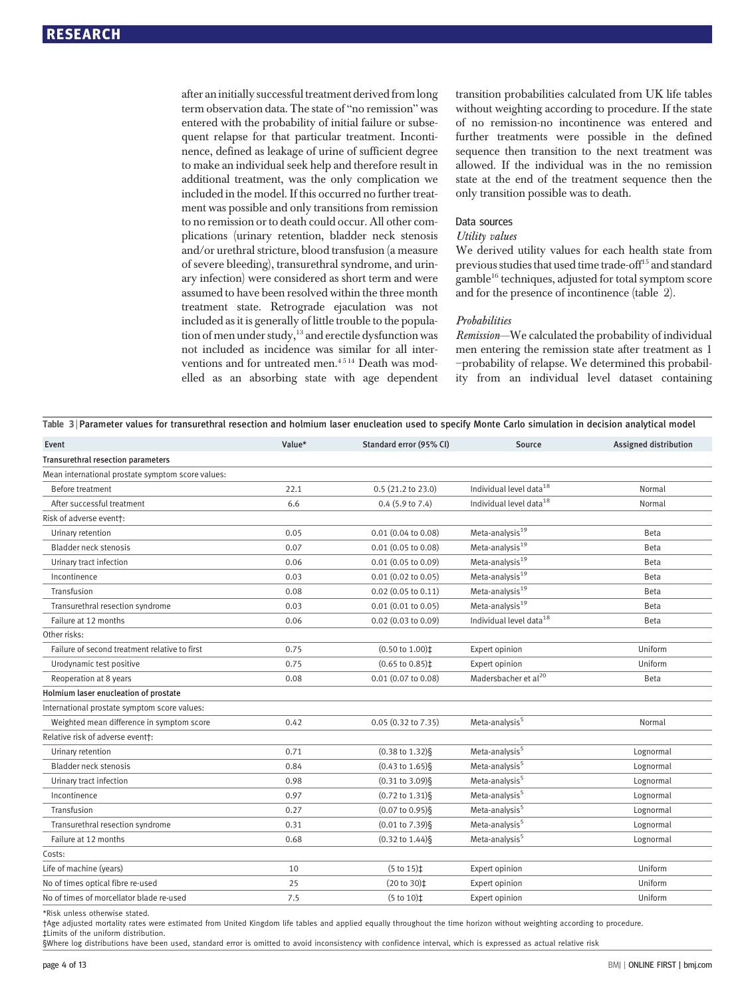after an initially successful treatment derived from long term observation data. The state of "no remission" was entered with the probability of initial failure or subsequent relapse for that particular treatment. Incontinence, defined as leakage of urine of sufficient degree to make an individual seek help and therefore result in additional treatment, was the only complication we included in the model. If this occurred no further treatment was possible and only transitions from remission to no remission or to death could occur. All other complications (urinary retention, bladder neck stenosis and/or urethral stricture, blood transfusion (a measure of severe bleeding), transurethral syndrome, and urinary infection) were considered as short term and were assumed to have been resolved within the three month treatment state. Retrograde ejaculation was not included as it is generally of little trouble to the population of men under study,<sup>13</sup> and erectile dysfunction was not included as incidence was similar for all interventions and for untreated men. $4514$  Death was modelled as an absorbing state with age dependent transition probabilities calculated from UK life tables without weighting according to procedure. If the state of no remission-no incontinence was entered and further treatments were possible in the defined sequence then transition to the next treatment was allowed. If the individual was in the no remission state at the end of the treatment sequence then the only transition possible was to death.

#### Data sources

#### Utility values

We derived utility values for each health state from previous studies that used time trade-off<sup>15</sup> and standard gamble16 techniques, adjusted for total symptom score and for the presence of incontinence (table 2).

#### Probabilities

Remission—We calculated the probability of individual men entering the remission state after treatment as 1 −probability of relapse. We determined this probability from an individual level dataset containing

Table 3 <sup>|</sup> Parameter values for transurethral resection and holmium laser enucleation used to specify Monte Carlo simulation in decision analytical model

| Event                                             | Value* | Standard error (95% CI)                      | Source                              | Assigned distribution |
|---------------------------------------------------|--------|----------------------------------------------|-------------------------------------|-----------------------|
| <b>Transurethral resection parameters</b>         |        |                                              |                                     |                       |
| Mean international prostate symptom score values: |        |                                              |                                     |                       |
| Before treatment                                  | 22.1   | 0.5 (21.2 to 23.0)                           | Individual level data <sup>18</sup> | Normal                |
| After successful treatment                        | 6.6    | 0.4 (5.9 to 7.4)                             | Individual level data <sup>18</sup> | Normal                |
| Risk of adverse eventt:                           |        |                                              |                                     |                       |
| Urinary retention                                 | 0.05   | $0.01$ (0.04 to 0.08)                        | Meta-analysis <sup>19</sup>         | Beta                  |
| Bladder neck stenosis                             | 0.07   | $0.01$ (0.05 to 0.08)                        | Meta-analysis <sup>19</sup>         | Beta                  |
| Urinary tract infection                           | 0.06   | $0.01$ $(0.05$ to $0.09)$                    | Meta-analysis <sup>19</sup>         | Beta                  |
| Incontinence                                      | 0.03   | $0.01$ (0.02 to 0.05)                        | Meta-analysis <sup>19</sup>         | Beta                  |
| Transfusion                                       | 0.08   | $0.02$ (0.05 to 0.11)                        | Meta-analysis <sup>19</sup>         | Beta                  |
| Transurethral resection syndrome                  | 0.03   | $0.01$ (0.01 to 0.05)                        | Meta-analysis <sup>19</sup>         | Beta                  |
| Failure at 12 months                              | 0.06   | 0.02 (0.03 to 0.09)                          | Individual level data <sup>18</sup> | Beta                  |
| Other risks:                                      |        |                                              |                                     |                       |
| Failure of second treatment relative to first     | 0.75   | $(0.50 \text{ to } 1.00)$ <sup>±</sup>       | Expert opinion                      | Uniform               |
| Urodynamic test positive                          | 0.75   | $(0.65 \text{ to } 0.85)$ <sup>±</sup>       | Expert opinion                      | Uniform               |
| Reoperation at 8 years                            | 0.08   | 0.01 (0.07 to 0.08)                          | Madersbacher et al <sup>20</sup>    | Beta                  |
| Holmium laser enucleation of prostate             |        |                                              |                                     |                       |
| International prostate symptom score values:      |        |                                              |                                     |                       |
| Weighted mean difference in symptom score         | 0.42   | 0.05 (0.32 to 7.35)                          | Meta-analysis <sup>5</sup>          | Normal                |
| Relative risk of adverse event†:                  |        |                                              |                                     |                       |
| Urinary retention                                 | 0.71   | $(0.38 \text{ to } 1.32)\$                   | Meta-analysis <sup>5</sup>          | Lognormal             |
| Bladder neck stenosis                             | 0.84   | $(0.43 \text{ to } 1.65)\$                   | Meta-analysis <sup>5</sup>          | Lognormal             |
| Urinary tract infection                           | 0.98   | $(0.31 \text{ to } 3.09)$ §                  | Meta-analysis <sup>5</sup>          | Lognormal             |
| Incontinence                                      | 0.97   | $(0.72 \text{ to } 1.31)\$ §                 | Meta-analysis <sup>5</sup>          | Lognormal             |
| Transfusion                                       | 0.27   | $(0.07 \text{ to } 0.95)\$ §                 | Meta-analysis <sup>5</sup>          | Lognormal             |
| Transurethral resection syndrome                  | 0.31   | $(0.01 \text{ to } 7.39)\$ §                 | Meta-analysis <sup>5</sup>          | Lognormal             |
| Failure at 12 months                              | 0.68   | $(0.32 \text{ to } 1.44)$ §                  | Meta-analysis <sup>5</sup>          | Lognormal             |
| Costs:                                            |        |                                              |                                     |                       |
| Life of machine (years)                           | 10     | $(5 to 15)$ <sup>±</sup>                     | Expert opinion                      | Uniform               |
| No of times optical fibre re-used                 | 25     | $(20 to 30)$ ±                               | Expert opinion                      | Uniform               |
| No of times of morcellator blade re-used          | 7.5    | $(5 to 10)$ <sup><math>\ddagger</math></sup> | Expert opinion                      | Uniform               |
|                                                   |        |                                              |                                     |                       |

\*Risk unless otherwise stated.

†Age adjusted mortality rates were estimated from United Kingdom life tables and applied equally throughout the time horizon without weighting according to procedure. ‡Limits of the uniform distribution.

§Where log distributions have been used, standard error is omitted to avoid inconsistency with confidence interval, which is expressed as actual relative risk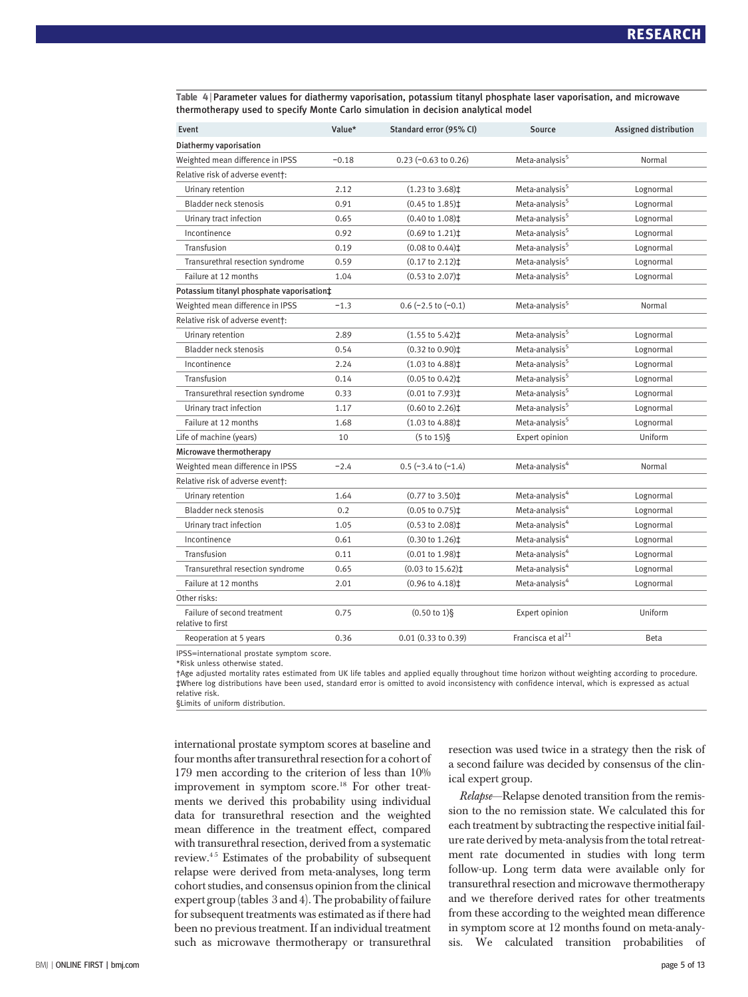Table 4 <sup>|</sup> Parameter values for diathermy vaporisation, potassium titanyl phosphate laser vaporisation, and microwave thermotherapy used to specify Monte Carlo simulation in decision analytical model

| Event                                            | Value*  | Standard error (95% CI)                                    | Source                        | Assigned distribution |
|--------------------------------------------------|---------|------------------------------------------------------------|-------------------------------|-----------------------|
| Diathermy vaporisation                           |         |                                                            |                               |                       |
| Weighted mean difference in IPSS                 | $-0.18$ | $0.23$ (-0.63 to 0.26)                                     | Meta-analysis <sup>5</sup>    | Normal                |
| Relative risk of adverse eventt:                 |         |                                                            |                               |                       |
| Urinary retention                                | 2.12    | $(1.23 \text{ to } 3.68)$ <sup><math>\ddagger</math></sup> | Meta-analysis <sup>5</sup>    | Lognormal             |
| <b>Bladder neck stenosis</b>                     | 0.91    | $(0.45 \text{ to } 1.85)$ <sup>±</sup>                     | Meta-analysis <sup>5</sup>    | Lognormal             |
| Urinary tract infection                          | 0.65    | $(0.40 \text{ to } 1.08)$ <sup><math>\ddagger</math></sup> | Meta-analysis <sup>5</sup>    | Lognormal             |
| Incontinence                                     | 0.92    | $(0.69 \text{ to } 1.21)$ <sup><math>\pm</math></sup>      | Meta-analysis <sup>5</sup>    | Lognormal             |
| Transfusion                                      | 0.19    | $(0.08 \text{ to } 0.44)$ <sup>±</sup>                     | Meta-analysis <sup>5</sup>    | Lognormal             |
| Transurethral resection syndrome                 | 0.59    | $(0.17 \text{ to } 2.12)$ <sup>±</sup>                     | Meta-analysis <sup>5</sup>    | Lognormal             |
| Failure at 12 months                             | 1.04    | $(0.53 \text{ to } 2.07)$ <sup><math>\ddagger</math></sup> | Meta-analysis <sup>5</sup>    | Lognormal             |
| Potassium titanyl phosphate vaporisation‡        |         |                                                            |                               |                       |
| Weighted mean difference in IPSS                 | $-1.3$  | $0.6$ (-2.5 to (-0.1)                                      | Meta-analysis <sup>5</sup>    | Normal                |
| Relative risk of adverse eventt:                 |         |                                                            |                               |                       |
| Urinary retention                                | 2.89    | $(1.55 \text{ to } 5.42)$ <sup>±</sup>                     | Meta-analysis <sup>5</sup>    | Lognormal             |
| <b>Bladder neck stenosis</b>                     | 0.54    | $(0.32 \text{ to } 0.90)$ <sup><math>\pm</math></sup>      | Meta-analysis <sup>5</sup>    | Lognormal             |
| Incontinence                                     | 2.24    | $(1.03 \text{ to } 4.88)$ <sup>±</sup>                     | Meta-analysis <sup>5</sup>    | Lognormal             |
| Transfusion                                      | 0.14    | $(0.05 \text{ to } 0.42)$ <sup>±</sup>                     | Meta-analysis <sup>5</sup>    | Lognormal             |
| Transurethral resection syndrome                 | 0.33    | $(0.01 \text{ to } 7.93)$ <sup>±</sup>                     | Meta-analysis <sup>5</sup>    | Lognormal             |
| Urinary tract infection                          | 1.17    | $(0.60 \text{ to } 2.26)$ <sup><math>\pm</math></sup>      | Meta-analysis <sup>5</sup>    | Lognormal             |
| Failure at 12 months                             | 1.68    | $(1.03 \text{ to } 4.88)$ ‡                                | Meta-analysis <sup>5</sup>    | Lognormal             |
| Life of machine (years)                          | 10      | $(5 to 15)$ §                                              | Expert opinion                | Uniform               |
| Microwave thermotherapy                          |         |                                                            |                               |                       |
| Weighted mean difference in IPSS                 | $-2.4$  | $0.5$ (-3.4 to (-1.4)                                      | Meta-analysis <sup>4</sup>    | Normal                |
| Relative risk of adverse eventt:                 |         |                                                            |                               |                       |
| Urinary retention                                | 1.64    | $(0.77 \text{ to } 3.50)$ <sup>±</sup>                     | Meta-analysis <sup>4</sup>    | Lognormal             |
| <b>Bladder neck stenosis</b>                     | 0.2     | $(0.05 \text{ to } 0.75)$ <sup>±</sup>                     | Meta-analysis <sup>4</sup>    | Lognormal             |
| Urinary tract infection                          | 1.05    | $(0.53 \text{ to } 2.08)$ <sup><math>\ddagger</math></sup> | Meta-analysis <sup>4</sup>    | Lognormal             |
| Incontinence                                     | 0.61    | $(0.30 \text{ to } 1.26)$ <sup><math>\ddagger</math></sup> | Meta-analysis <sup>4</sup>    | Lognormal             |
| Transfusion                                      | 0.11    | $(0.01 \text{ to } 1.98)$ <sup><math>\pm</math></sup>      | Meta-analysis <sup>4</sup>    | Lognormal             |
| Transurethral resection syndrome                 | 0.65    | $(0.03 \text{ to } 15.62)$ ‡                               | Meta-analysis <sup>4</sup>    | Lognormal             |
| Failure at 12 months                             | 2.01    | $(0.96 \text{ to } 4.18)$ <sup><math>\ddagger</math></sup> | Meta-analysis <sup>4</sup>    | Lognormal             |
| Other risks:                                     |         |                                                            |                               |                       |
| Failure of second treatment<br>relative to first | 0.75    | $(0.50 \text{ to } 1)\$                                    | Expert opinion                | Uniform               |
| Reoperation at 5 years                           | 0.36    | $0.01$ $(0.33$ to $0.39)$                                  | Francisca et al <sup>21</sup> | Beta                  |

IPSS=international prostate symptom score.

\*Risk unless otherwise stated.

†Age adjusted mortality rates estimated from UK life tables and applied equally throughout time horizon without weighting according to procedure. ‡Where log distributions have been used, standard error is omitted to avoid inconsistency with confidence interval, which is expressed as actual relative risk.

§Limits of uniform distribution.

international prostate symptom scores at baseline and four months after transurethral resection for a cohort of 179 men according to the criterion of less than 10% improvement in symptom score.<sup>18</sup> For other treatments we derived this probability using individual data for transurethral resection and the weighted mean difference in the treatment effect, compared with transurethral resection, derived from a systematic review.4 5 Estimates of the probability of subsequent relapse were derived from meta-analyses, long term cohort studies, and consensus opinion from the clinical expert group (tables 3 and 4). The probability of failure for subsequent treatments was estimated as if there had been no previous treatment. If an individual treatment such as microwave thermotherapy or transurethral

resection was used twice in a strategy then the risk of a second failure was decided by consensus of the clinical expert group.

Relapse—Relapse denoted transition from the remission to the no remission state. We calculated this for each treatment by subtracting the respective initial failure rate derived by meta-analysis from the total retreatment rate documented in studies with long term follow-up. Long term data were available only for transurethral resection and microwave thermotherapy and we therefore derived rates for other treatments from these according to the weighted mean difference in symptom score at 12 months found on meta-analysis. We calculated transition probabilities of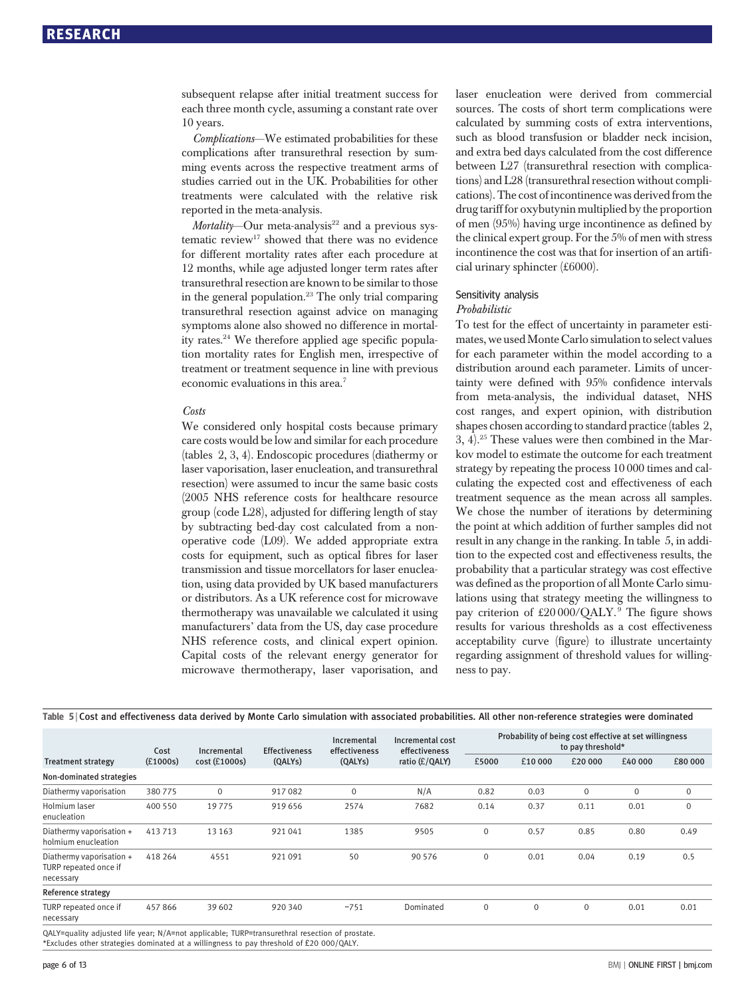subsequent relapse after initial treatment success for each three month cycle, assuming a constant rate over 10 years.

Complications—We estimated probabilities for these complications after transurethral resection by summing events across the respective treatment arms of studies carried out in the UK. Probabilities for other treatments were calculated with the relative risk reported in the meta-analysis.

 $Mortality$ —Our meta-analysis<sup>22</sup> and a previous systematic review<sup>17</sup> showed that there was no evidence for different mortality rates after each procedure at 12 months, while age adjusted longer term rates after transurethral resection are known to be similar to those in the general population.<sup>23</sup> The only trial comparing transurethral resection against advice on managing symptoms alone also showed no difference in mortality rates.<sup>24</sup> We therefore applied age specific population mortality rates for English men, irrespective of treatment or treatment sequence in line with previous economic evaluations in this area.<sup>7</sup>

#### Costs

We considered only hospital costs because primary care costs would be low and similar for each procedure (tables 2, 3, 4). Endoscopic procedures (diathermy or laser vaporisation, laser enucleation, and transurethral resection) were assumed to incur the same basic costs (2005 NHS reference costs for healthcare resource group (code L28), adjusted for differing length of stay by subtracting bed-day cost calculated from a nonoperative code (L09). We added appropriate extra costs for equipment, such as optical fibres for laser transmission and tissue morcellators for laser enucleation, using data provided by UK based manufacturers or distributors. As a UK reference cost for microwave thermotherapy was unavailable we calculated it using manufacturers' data from the US, day case procedure NHS reference costs, and clinical expert opinion. Capital costs of the relevant energy generator for microwave thermotherapy, laser vaporisation, and laser enucleation were derived from commercial sources. The costs of short term complications were calculated by summing costs of extra interventions, such as blood transfusion or bladder neck incision, and extra bed days calculated from the cost difference between L27 (transurethral resection with complications) and L28 (transurethral resection without complications). The cost of incontinence was derived from the drug tariff for oxybutynin multiplied by the proportion of men (95%) having urge incontinence as defined by the clinical expert group. For the 5% of men with stress incontinence the cost was that for insertion of an artificial urinary sphincter (£6000).

#### Sensitivity analysis

#### Probabilistic

To test for the effect of uncertainty in parameter estimates, we usedMonte Carlo simulation to select values for each parameter within the model according to a distribution around each parameter. Limits of uncertainty were defined with 95% confidence intervals from meta-analysis, the individual dataset, NHS cost ranges, and expert opinion, with distribution shapes chosen according to standard practice (tables 2, 3, 4).<sup>25</sup> These values were then combined in the Markov model to estimate the outcome for each treatment strategy by repeating the process 10 000 times and calculating the expected cost and effectiveness of each treatment sequence as the mean across all samples. We chose the number of iterations by determining the point at which addition of further samples did not result in any change in the ranking. In table 5, in addition to the expected cost and effectiveness results, the probability that a particular strategy was cost effective was defined as the proportion of all Monte Carlo simulations using that strategy meeting the willingness to pay criterion of £20 000/QALY.<sup>9</sup> The figure shows results for various thresholds as a cost effectiveness acceptability curve (figure) to illustrate uncertainty regarding assignment of threshold values for willingness to pay.

|  |  |  | Table 5 Cost and effectiveness data derived by Monte Carlo simulation with associated probabilities. All other non-reference strategies were dominated |
|--|--|--|--------------------------------------------------------------------------------------------------------------------------------------------------------|
|--|--|--|--------------------------------------------------------------------------------------------------------------------------------------------------------|

|                                                                | Cost     | Incremental   | <b>Effectiveness</b> | Incremental<br>effectiveness | Incremental cost<br>effectiveness |             | Probability of being cost effective at set willingness | to pay threshold* |             |              |
|----------------------------------------------------------------|----------|---------------|----------------------|------------------------------|-----------------------------------|-------------|--------------------------------------------------------|-------------------|-------------|--------------|
| <b>Treatment strategy</b>                                      | (E1000s) | cost (£1000s) | (QALYs)              | (QALYs)                      | ratio $(E/QALY)$                  | £5000       | £10 000                                                | £20 000           | £40 000     | £80 000      |
| Non-dominated strategies                                       |          |               |                      |                              |                                   |             |                                                        |                   |             |              |
| Diathermy vaporisation                                         | 380775   | $\mathbf{0}$  | 917082               | $\mathbf 0$                  | N/A                               | 0.82        | 0.03                                                   | $\mathbf 0$       | $\mathbf 0$ | 0            |
| Holmium laser<br>enucleation                                   | 400 550  | 19775         | 919 656              | 2574                         | 7682                              | 0.14        | 0.37                                                   | 0.11              | 0.01        | $\mathbf{0}$ |
| Diathermy vaporisation +<br>holmium enucleation                | 413713   | 13 16 3       | 921041               | 1385                         | 9505                              | 0           | 0.57                                                   | 0.85              | 0.80        | 0.49         |
| Diathermy vaporisation +<br>TURP repeated once if<br>necessary | 418 264  | 4551          | 921 091              | 50                           | 90 5 7 6                          | $\mathbf 0$ | 0.01                                                   | 0.04              | 0.19        | 0.5          |
| Reference strategy                                             |          |               |                      |                              |                                   |             |                                                        |                   |             |              |
| TURP repeated once if<br>necessary                             | 457866   | 39 602        | 920 340              | $-751$                       | Dominated                         | $\mathbf 0$ | 0                                                      | $\mathbf 0$       | 0.01        | 0.01         |

QALY=quality adjusted life year; N/A=not applicable; TURP=transurethral resection of prostate. \*Excludes other strategies dominated at a willingness to pay threshold of £20 000/QALY.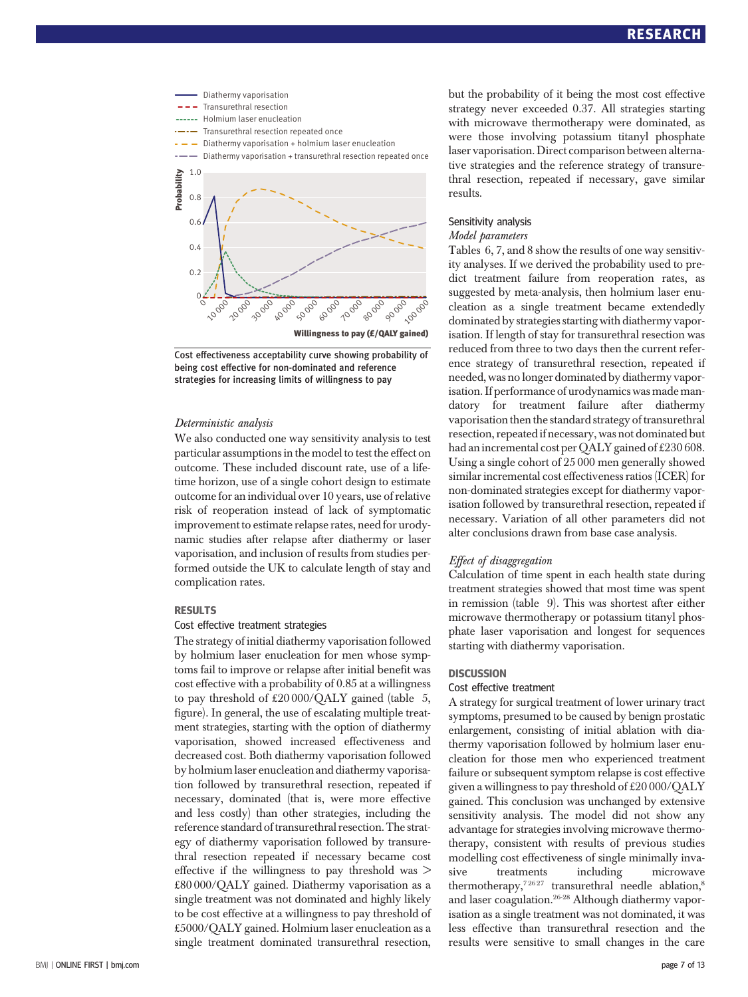



#### Deterministic analysis

We also conducted one way sensitivity analysis to test particular assumptions in the model to test the effect on outcome. These included discount rate, use of a lifetime horizon, use of a single cohort design to estimate outcome for an individual over 10 years, use of relative risk of reoperation instead of lack of symptomatic improvement to estimate relapse rates, need for urodynamic studies after relapse after diathermy or laser vaporisation, and inclusion of results from studies performed outside the UK to calculate length of stay and complication rates.

#### RESULTS

#### Cost effective treatment strategies

The strategy of initial diathermy vaporisation followed by holmium laser enucleation for men whose symptoms fail to improve or relapse after initial benefit was cost effective with a probability of 0.85 at a willingness to pay threshold of £20 000/QALY gained (table 5, figure). In general, the use of escalating multiple treatment strategies, starting with the option of diathermy vaporisation, showed increased effectiveness and decreased cost. Both diathermy vaporisation followed by holmium laser enucleation and diathermy vaporisation followed by transurethral resection, repeated if necessary, dominated (that is, were more effective and less costly) than other strategies, including the reference standard of transurethral resection. The strategy of diathermy vaporisation followed by transurethral resection repeated if necessary became cost effective if the willingness to pay threshold was  $>$ £80 000/QALY gained. Diathermy vaporisation as a single treatment was not dominated and highly likely to be cost effective at a willingness to pay threshold of £5000/QALY gained. Holmium laser enucleation as a single treatment dominated transurethral resection, but the probability of it being the most cost effective strategy never exceeded 0.37. All strategies starting with microwave thermotherapy were dominated, as were those involving potassium titanyl phosphate laser vaporisation. Direct comparison between alternative strategies and the reference strategy of transurethral resection, repeated if necessary, gave similar results.

#### Sensitivity analysis

#### Model parameters

Tables 6, 7, and 8 show the results of one way sensitivity analyses. If we derived the probability used to predict treatment failure from reoperation rates, as suggested by meta-analysis, then holmium laser enucleation as a single treatment became extendedly dominated by strategies starting with diathermy vaporisation. If length of stay for transurethral resection was reduced from three to two days then the current reference strategy of transurethral resection, repeated if needed, was no longer dominated by diathermy vaporisation. If performance of urodynamics was made mandatory for treatment failure after diathermy vaporisation then the standard strategy of transurethral resection, repeated if necessary, was not dominated but had an incremental cost per QALY gained of £230 608. Using a single cohort of 25 000 men generally showed similar incremental cost effectiveness ratios (ICER) for non-dominated strategies except for diathermy vaporisation followed by transurethral resection, repeated if necessary. Variation of all other parameters did not alter conclusions drawn from base case analysis.

#### Effect of disaggregation

Calculation of time spent in each health state during treatment strategies showed that most time was spent in remission (table 9). This was shortest after either microwave thermotherapy or potassium titanyl phosphate laser vaporisation and longest for sequences starting with diathermy vaporisation.

#### **DISCUSSION**

#### Cost effective treatment

A strategy for surgical treatment of lower urinary tract symptoms, presumed to be caused by benign prostatic enlargement, consisting of initial ablation with diathermy vaporisation followed by holmium laser enucleation for those men who experienced treatment failure or subsequent symptom relapse is cost effective given a willingness to pay threshold of £20 000/QALY gained. This conclusion was unchanged by extensive sensitivity analysis. The model did not show any advantage for strategies involving microwave thermotherapy, consistent with results of previous studies modelling cost effectiveness of single minimally invasive treatments including microwave thermotherapy,<sup>72627</sup> transurethral needle ablation,<sup>8</sup> and laser coagulation.26-28 Although diathermy vaporisation as a single treatment was not dominated, it was less effective than transurethral resection and the results were sensitive to small changes in the care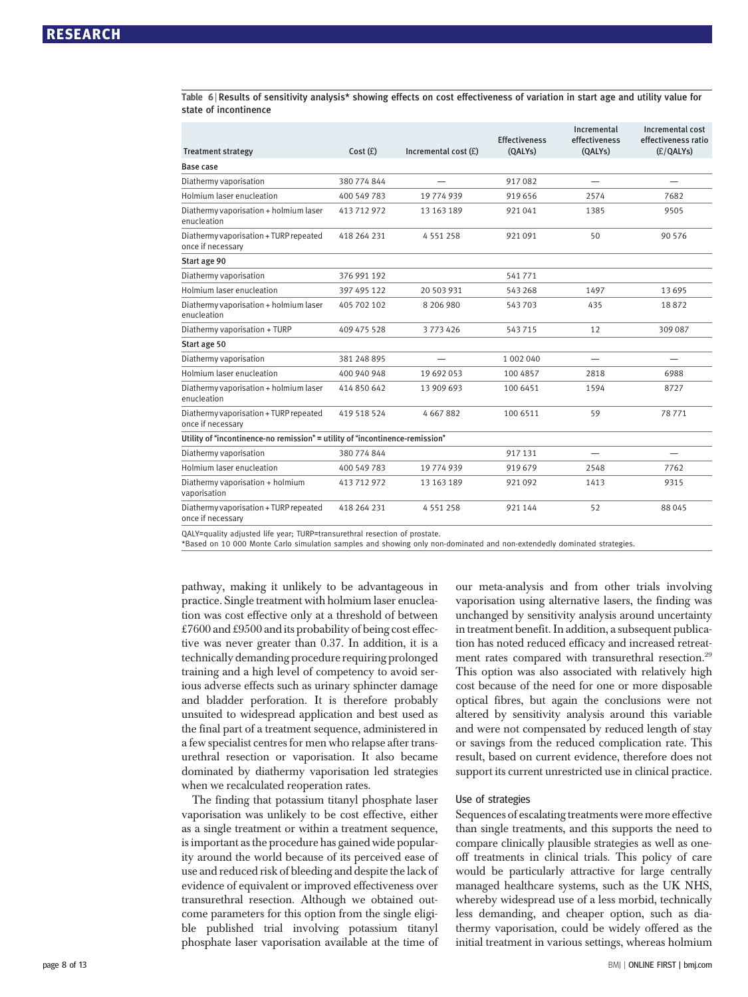Table 6 <sup>|</sup> Results of sensitivity analysis\* showing effects on cost effectiveness of variation in start age and utility value for state of incontinence

|                                                                              |             |                        | <b>Effectiveness</b> | Incremental<br>effectiveness | Incremental cost<br>effectiveness ratio |
|------------------------------------------------------------------------------|-------------|------------------------|----------------------|------------------------------|-----------------------------------------|
| <b>Treatment strategy</b>                                                    | Cost(f)     | Incremental cost $(E)$ | (QALYs)              | (QALYs)                      | (E/QALYs)                               |
| Base case                                                                    |             |                        |                      |                              |                                         |
| Diathermy vaporisation                                                       | 380 774 844 |                        | 917082               |                              |                                         |
| Holmium laser enucleation                                                    | 400 549 783 | 19774939               | 919656               | 2574                         | 7682                                    |
| Diathermy vaporisation + holmium laser<br>enucleation                        | 413 712 972 | 13 163 189             | 921041               | 1385                         | 9505                                    |
| Diathermy vaporisation + TURP repeated<br>once if necessary                  | 418 264 231 | 4551258                | 921 091              | 50                           | 90 576                                  |
| Start age 90                                                                 |             |                        |                      |                              |                                         |
| Diathermy vaporisation                                                       | 376 991 192 |                        | 541771               |                              |                                         |
| Holmium laser enucleation                                                    | 397 495 122 | 20 503 931             | 543 268              | 1497                         | 13 6 95                                 |
| Diathermy vaporisation + holmium laser<br>enucleation                        | 405 702 102 | 8 206 980              | 543703               | 435                          | 18872                                   |
| Diathermy vaporisation + TURP                                                | 409 475 528 | 3773426                | 543715               | 12                           | 309 087                                 |
| Start age 50                                                                 |             |                        |                      |                              |                                         |
| Diathermy vaporisation                                                       | 381 248 895 |                        | 1 002 040            | $\overline{\phantom{0}}$     | $\overline{\phantom{0}}$                |
| Holmium laser enucleation                                                    | 400 940 948 | 19 692 053             | 100 4857             | 2818                         | 6988                                    |
| Diathermy vaporisation + holmium laser<br>enucleation                        | 414 850 642 | 13 909 693             | 100 6451             | 1594                         | 8727                                    |
| Diathermy vaporisation + TURP repeated<br>once if necessary                  | 419 518 524 | 4667882                | 100 6511             | 59                           | 78771                                   |
| Utility of "incontinence-no remission" = utility of "incontinence-remission" |             |                        |                      |                              |                                         |
| Diathermy vaporisation                                                       | 380 774 844 |                        | 917131               |                              |                                         |
| Holmium laser enucleation                                                    | 400 549 783 | 19774939               | 919679               | 2548                         | 7762                                    |
| Diathermy vaporisation + holmium<br>vaporisation                             | 413 712 972 | 13 163 189             | 921092               | 1413                         | 9315                                    |
| Diathermy vaporisation + TURP repeated<br>once if necessary                  | 418 264 231 | 4551258                | 921 144              | 52                           | 88 045                                  |

QALY=quality adjusted life year; TURP=transurethral resection of prostate.

\*Based on 10 000 Monte Carlo simulation samples and showing only non-dominated and non-extendedly dominated strategies.

pathway, making it unlikely to be advantageous in practice. Single treatment with holmium laser enucleation was cost effective only at a threshold of between £7600 and £9500 and its probability of being cost effective was never greater than 0.37. In addition, it is a technically demanding procedure requiring prolonged training and a high level of competency to avoid serious adverse effects such as urinary sphincter damage and bladder perforation. It is therefore probably unsuited to widespread application and best used as the final part of a treatment sequence, administered in a few specialist centres for men who relapse after transurethral resection or vaporisation. It also became dominated by diathermy vaporisation led strategies when we recalculated reoperation rates.

The finding that potassium titanyl phosphate laser vaporisation was unlikely to be cost effective, either as a single treatment or within a treatment sequence, is important as the procedure has gained wide popularity around the world because of its perceived ease of use and reduced risk of bleeding and despite the lack of evidence of equivalent or improved effectiveness over transurethral resection. Although we obtained outcome parameters for this option from the single eligible published trial involving potassium titanyl phosphate laser vaporisation available at the time of our meta-analysis and from other trials involving vaporisation using alternative lasers, the finding was unchanged by sensitivity analysis around uncertainty in treatment benefit. In addition, a subsequent publication has noted reduced efficacy and increased retreatment rates compared with transurethral resection.<sup>29</sup> This option was also associated with relatively high cost because of the need for one or more disposable optical fibres, but again the conclusions were not altered by sensitivity analysis around this variable and were not compensated by reduced length of stay or savings from the reduced complication rate. This result, based on current evidence, therefore does not support its current unrestricted use in clinical practice.

#### Use of strategies

Sequences of escalating treatments were more effective than single treatments, and this supports the need to compare clinically plausible strategies as well as oneoff treatments in clinical trials. This policy of care would be particularly attractive for large centrally managed healthcare systems, such as the UK NHS, whereby widespread use of a less morbid, technically less demanding, and cheaper option, such as diathermy vaporisation, could be widely offered as the initial treatment in various settings, whereas holmium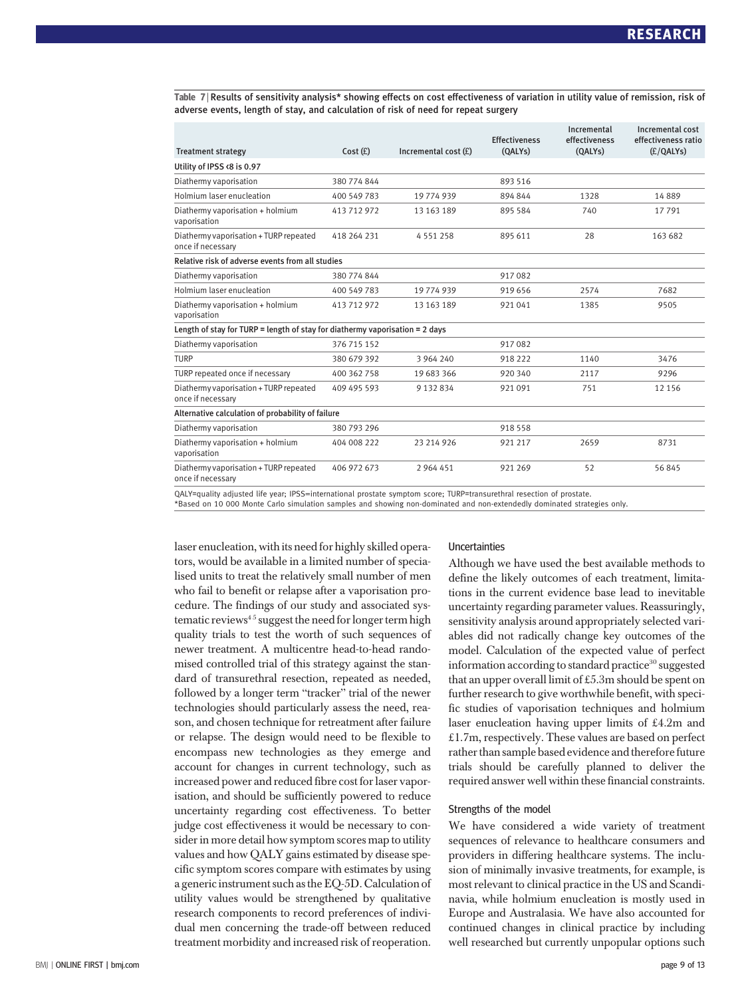Table 7 <sup>|</sup> Results of sensitivity analysis\* showing effects on cost effectiveness of variation in utility value of remission, risk of adverse events, length of stay, and calculation of risk of need for repeat surgery

|                                                                                |             |                        | <b>Fffectiveness</b> | Incremental<br>effectiveness | Incremental cost<br>effectiveness ratio |
|--------------------------------------------------------------------------------|-------------|------------------------|----------------------|------------------------------|-----------------------------------------|
| <b>Treatment strategy</b>                                                      | Cost(E)     | Incremental cost $(E)$ | (QALYs)              | (QALYs)                      | (E/QALYS)                               |
| Utility of IPSS <8 is 0.97                                                     |             |                        |                      |                              |                                         |
| Diathermy vaporisation                                                         | 380 774 844 |                        | 893 516              |                              |                                         |
| Holmium laser enucleation                                                      | 400 549 783 | 19774939               | 894844               | 1328                         | 14889                                   |
| Diathermy vaporisation + holmium<br>vaporisation                               | 413 712 972 | 13 163 189             | 895 584              | 740                          | 17791                                   |
| Diathermy vaporisation + TURP repeated<br>once if necessary                    | 418 264 231 | 4551258                | 895 611              | 28                           | 163 682                                 |
| Relative risk of adverse events from all studies                               |             |                        |                      |                              |                                         |
| Diathermy vaporisation                                                         | 380 774 844 |                        | 917082               |                              |                                         |
| Holmium laser enucleation                                                      | 400 549 783 | 19774939               | 919 656              | 2574                         | 7682                                    |
| Diathermy vaporisation + holmium<br>vaporisation                               | 413 712 972 | 13 163 189             | 921 041              | 1385                         | 9505                                    |
| Length of stay for TURP = length of stay for diathermy vaporisation = $2$ days |             |                        |                      |                              |                                         |
| Diathermy vaporisation                                                         | 376 715 152 |                        | 917082               |                              |                                         |
| <b>TURP</b>                                                                    | 380 679 392 | 3 964 240              | 918 222              | 1140                         | 3476                                    |
| TURP repeated once if necessary                                                | 400 362 758 | 19683366               | 920 340              | 2117                         | 9296                                    |
| Diathermy vaporisation + TURP repeated<br>once if necessary                    | 409 495 593 | 9 132 834              | 921 091              | 751                          | 12 15 6                                 |
| Alternative calculation of probability of failure                              |             |                        |                      |                              |                                         |
| Diathermy vaporisation                                                         | 380 793 296 |                        | 918 558              |                              |                                         |
| Diathermy vaporisation + holmium<br>vaporisation                               | 404 008 222 | 23 214 926             | 921 217              | 2659                         | 8731                                    |
| Diathermy vaporisation + TURP repeated<br>once if necessary                    | 406 972 673 | 2 9 6 4 4 5 1          | 921 269              | 52                           | 56845                                   |

QALY=quality adjusted life year; IPSS=international prostate symptom score; TURP=transurethral resection of prostate.

\*Based on 10 000 Monte Carlo simulation samples and showing non-dominated and non-extendedly dominated strategies only.

laser enucleation, with its need for highly skilled operators, would be available in a limited number of specialised units to treat the relatively small number of men who fail to benefit or relapse after a vaporisation procedure. The findings of our study and associated systematic reviews<sup>45</sup> suggest the need for longer term high quality trials to test the worth of such sequences of newer treatment. A multicentre head-to-head randomised controlled trial of this strategy against the standard of transurethral resection, repeated as needed, followed by a longer term "tracker" trial of the newer technologies should particularly assess the need, reason, and chosen technique for retreatment after failure or relapse. The design would need to be flexible to encompass new technologies as they emerge and account for changes in current technology, such as increased power and reduced fibre cost for laser vaporisation, and should be sufficiently powered to reduce uncertainty regarding cost effectiveness. To better judge cost effectiveness it would be necessary to consider in more detail how symptom scores map to utility values and how QALY gains estimated by disease specific symptom scores compare with estimates by using a generic instrument such as the EQ-5D. Calculation of utility values would be strengthened by qualitative research components to record preferences of individual men concerning the trade-off between reduced treatment morbidity and increased risk of reoperation.

#### Uncertainties

Although we have used the best available methods to define the likely outcomes of each treatment, limitations in the current evidence base lead to inevitable uncertainty regarding parameter values. Reassuringly, sensitivity analysis around appropriately selected variables did not radically change key outcomes of the model. Calculation of the expected value of perfect information according to standard practice<sup>30</sup> suggested that an upper overall limit of £5.3m should be spent on further research to give worthwhile benefit, with specific studies of vaporisation techniques and holmium laser enucleation having upper limits of £4.2m and £1.7m, respectively. These values are based on perfect rather than sample based evidence and therefore future trials should be carefully planned to deliver the required answer well within these financial constraints.

#### Strengths of the model

We have considered a wide variety of treatment sequences of relevance to healthcare consumers and providers in differing healthcare systems. The inclusion of minimally invasive treatments, for example, is most relevant to clinical practice in the US and Scandinavia, while holmium enucleation is mostly used in Europe and Australasia. We have also accounted for continued changes in clinical practice by including well researched but currently unpopular options such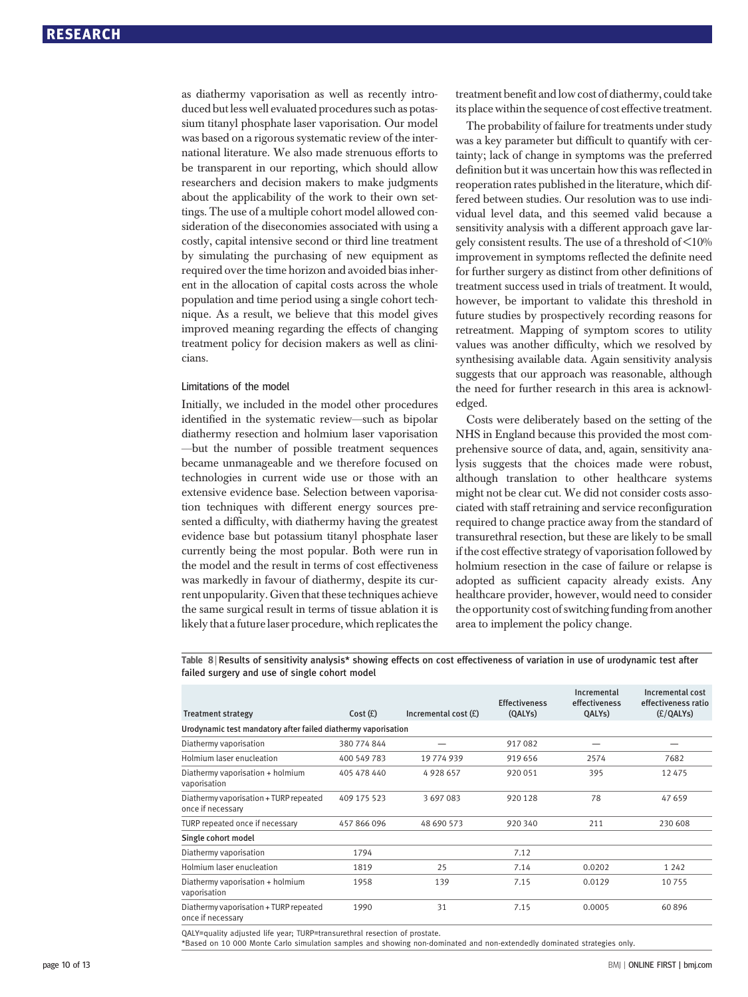as diathermy vaporisation as well as recently introduced but less well evaluated procedures such as potassium titanyl phosphate laser vaporisation. Our model was based on a rigorous systematic review of the international literature. We also made strenuous efforts to be transparent in our reporting, which should allow researchers and decision makers to make judgments about the applicability of the work to their own settings. The use of a multiple cohort model allowed consideration of the diseconomies associated with using a costly, capital intensive second or third line treatment by simulating the purchasing of new equipment as required over the time horizon and avoided bias inherent in the allocation of capital costs across the whole population and time period using a single cohort technique. As a result, we believe that this model gives improved meaning regarding the effects of changing treatment policy for decision makers as well as clinicians.

#### Limitations of the model

Initially, we included in the model other procedures identified in the systematic review—such as bipolar diathermy resection and holmium laser vaporisation —but the number of possible treatment sequences became unmanageable and we therefore focused on technologies in current wide use or those with an extensive evidence base. Selection between vaporisation techniques with different energy sources presented a difficulty, with diathermy having the greatest evidence base but potassium titanyl phosphate laser currently being the most popular. Both were run in the model and the result in terms of cost effectiveness was markedly in favour of diathermy, despite its current unpopularity. Given that these techniques achieve the same surgical result in terms of tissue ablation it is likely that a future laser procedure, which replicates the treatment benefit and low cost of diathermy, could take its place within the sequence of cost effective treatment.

The probability of failure for treatments under study was a key parameter but difficult to quantify with certainty; lack of change in symptoms was the preferred definition but it was uncertain how this was reflected in reoperation rates published in the literature, which differed between studies. Our resolution was to use individual level data, and this seemed valid because a sensitivity analysis with a different approach gave largely consistent results. The use of a threshold of <10% improvement in symptoms reflected the definite need for further surgery as distinct from other definitions of treatment success used in trials of treatment. It would, however, be important to validate this threshold in future studies by prospectively recording reasons for retreatment. Mapping of symptom scores to utility values was another difficulty, which we resolved by synthesising available data. Again sensitivity analysis suggests that our approach was reasonable, although the need for further research in this area is acknowledged.

Costs were deliberately based on the setting of the NHS in England because this provided the most comprehensive source of data, and, again, sensitivity analysis suggests that the choices made were robust, although translation to other healthcare systems might not be clear cut. We did not consider costs associated with staff retraining and service reconfiguration required to change practice away from the standard of transurethral resection, but these are likely to be small if the cost effective strategy of vaporisation followed by holmium resection in the case of failure or relapse is adopted as sufficient capacity already exists. Any healthcare provider, however, would need to consider the opportunity cost of switching funding from another area to implement the policy change.

Table 8 <sup>|</sup> Results of sensitivity analysis\* showing effects on cost effectiveness of variation in use of urodynamic test after failed surgery and use of single cohort model

|                                                               |             |                        | <b>Effectiveness</b> | Incremental<br>effectiveness | Incremental cost<br>effectiveness ratio |
|---------------------------------------------------------------|-------------|------------------------|----------------------|------------------------------|-----------------------------------------|
| <b>Treatment strategy</b>                                     | Cost(E)     | Incremental cost $(E)$ | (QALYs)              | QALYs)                       | (E/QALYs)                               |
| Urodynamic test mandatory after failed diathermy vaporisation |             |                        |                      |                              |                                         |
| Diathermy vaporisation                                        | 380 774 844 |                        | 917082               |                              |                                         |
| Holmium laser enucleation                                     | 400 549 783 | 19774939               | 919 656              | 2574                         | 7682                                    |
| Diathermy vaporisation + holmium<br>vaporisation              | 405 478 440 | 4928657                | 920051               | 395                          | 12475                                   |
| Diathermy vaporisation + TURP repeated<br>once if necessary   | 409 175 523 | 3697083                | 920128               | 78                           | 47659                                   |
| TURP repeated once if necessary                               | 457 866 096 | 48 690 573             | 920 340              | 211                          | 230 608                                 |
| Single cohort model                                           |             |                        |                      |                              |                                         |
| Diathermy vaporisation                                        | 1794        |                        | 7.12                 |                              |                                         |
| Holmium laser enucleation                                     | 1819        | 25                     | 7.14                 | 0.0202                       | 1 2 4 2                                 |
| Diathermy vaporisation + holmium<br>vaporisation              | 1958        | 139                    | 7.15                 | 0.0129                       | 10755                                   |
| Diathermy vaporisation + TURP repeated<br>once if necessary   | 1990        | 31                     | 7.15                 | 0.0005                       | 60896                                   |

QALY=quality adjusted life year; TURP=transurethral resection of prostate.

\*Based on 10 000 Monte Carlo simulation samples and showing non-dominated and non-extendedly dominated strategies only.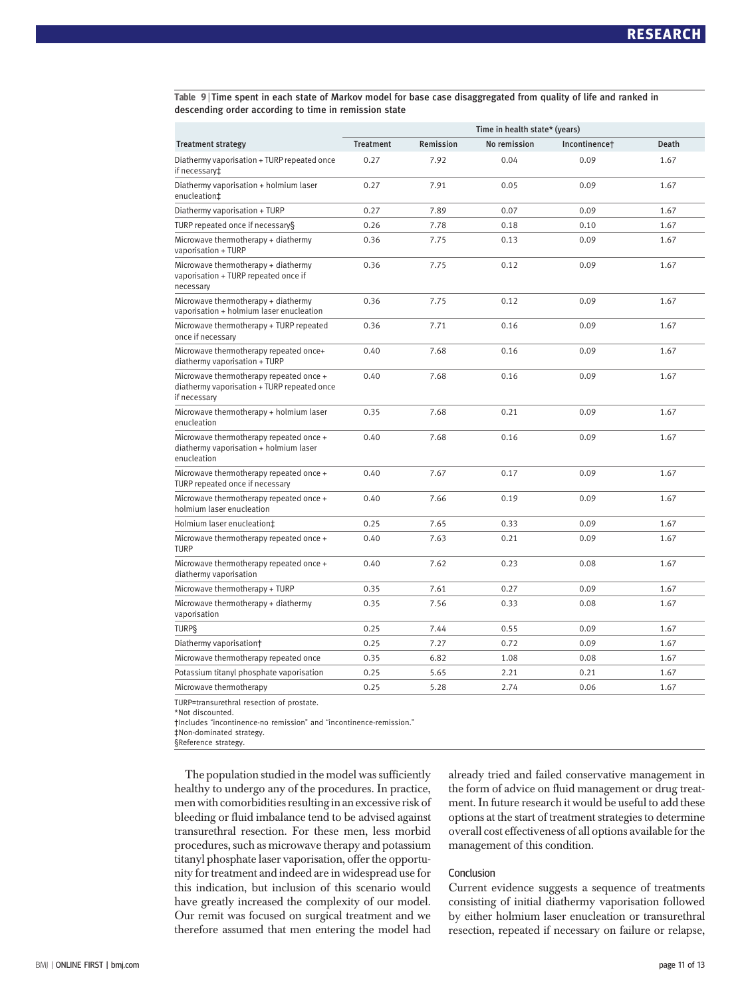Table 9 <sup>|</sup> Time spent in each state of Markov model for base case disaggregated from quality of life and ranked in descending order according to time in remission state

|                                                                                                        | Time in health state* (years) |           |              |                           |              |  |  |
|--------------------------------------------------------------------------------------------------------|-------------------------------|-----------|--------------|---------------------------|--------------|--|--|
| <b>Treatment strategy</b>                                                                              | <b>Treatment</b>              | Remission | No remission | Incontinence <sup>+</sup> | <b>Death</b> |  |  |
| Diathermy vaporisation + TURP repeated once<br>if necessary‡                                           | 0.27                          | 7.92      | 0.04         | 0.09                      | 1.67         |  |  |
| Diathermy vaporisation + holmium laser<br>enucleation <sup>±</sup>                                     | 0.27                          | 7.91      | 0.05         | 0.09                      | 1.67         |  |  |
| Diathermy vaporisation + TURP                                                                          | 0.27                          | 7.89      | 0.07         | 0.09                      | 1.67         |  |  |
| TURP repeated once if necessary§                                                                       | 0.26                          | 7.78      | 0.18         | 0.10                      | 1.67         |  |  |
| Microwave thermotherapy + diathermy<br>vaporisation + TURP                                             | 0.36                          | 7.75      | 0.13         | 0.09                      | 1.67         |  |  |
| Microwave thermotherapy + diathermy<br>vaporisation + TURP repeated once if<br>necessary               | 0.36                          | 7.75      | 0.12         | 0.09                      | 1.67         |  |  |
| Microwave thermotherapy + diathermy<br>vaporisation + holmium laser enucleation                        | 0.36                          | 7.75      | 0.12         | 0.09                      | 1.67         |  |  |
| Microwave thermotherapy + TURP repeated<br>once if necessary                                           | 0.36                          | 7.71      | 0.16         | 0.09                      | 1.67         |  |  |
| Microwave thermotherapy repeated once+<br>diathermy vaporisation + TURP                                | 0.40                          | 7.68      | 0.16         | 0.09                      | 1.67         |  |  |
| Microwave thermotherapy repeated once +<br>diathermy vaporisation + TURP repeated once<br>if necessary | 0.40                          | 7.68      | 0.16         | 0.09                      | 1.67         |  |  |
| Microwave thermotherapy + holmium laser<br>enucleation                                                 | 0.35                          | 7.68      | 0.21         | 0.09                      | 1.67         |  |  |
| Microwave thermotherapy repeated once +<br>diathermy vaporisation + holmium laser<br>enucleation       | 0.40                          | 7.68      | 0.16         | 0.09                      | 1.67         |  |  |
| Microwave thermotherapy repeated once +<br>TURP repeated once if necessary                             | 0.40                          | 7.67      | 0.17         | 0.09                      | 1.67         |  |  |
| Microwave thermotherapy repeated once +<br>holmium laser enucleation                                   | 0.40                          | 7.66      | 0.19         | 0.09                      | 1.67         |  |  |
| Holmium laser enucleation‡                                                                             | 0.25                          | 7.65      | 0.33         | 0.09                      | 1.67         |  |  |
| Microwave thermotherapy repeated once +<br><b>TURP</b>                                                 | 0.40                          | 7.63      | 0.21         | 0.09                      | 1.67         |  |  |
| Microwave thermotherapy repeated once +<br>diathermy vaporisation                                      | 0.40                          | 7.62      | 0.23         | 0.08                      | 1.67         |  |  |
| Microwave thermotherapy + TURP                                                                         | 0.35                          | 7.61      | 0.27         | 0.09                      | 1.67         |  |  |
| Microwave thermotherapy + diathermy<br>vaporisation                                                    | 0.35                          | 7.56      | 0.33         | 0.08                      | 1.67         |  |  |
| <b>TURPS</b>                                                                                           | 0.25                          | 7.44      | 0.55         | 0.09                      | 1.67         |  |  |
| Diathermy vaporisation†                                                                                | 0.25                          | 7.27      | 0.72         | 0.09                      | 1.67         |  |  |
| Microwave thermotherapy repeated once                                                                  | 0.35                          | 6.82      | 1.08         | 0.08                      | 1.67         |  |  |
| Potassium titanyl phosphate vaporisation                                                               | 0.25                          | 5.65      | 2.21         | 0.21                      | 1.67         |  |  |
| Microwave thermotherapy                                                                                | 0.25                          | 5.28      | 2.74         | 0.06                      | 1.67         |  |  |

TURP=transurethral resection of prostate.

\*Not discounted.

†Includes "incontinence-no remission" and "incontinence-remission."

‡Non-dominated strategy.

§Reference strategy.

The population studied in the model was sufficiently healthy to undergo any of the procedures. In practice, men with comorbidities resulting in an excessive risk of bleeding or fluid imbalance tend to be advised against transurethral resection. For these men, less morbid procedures, such as microwave therapy and potassium titanyl phosphate laser vaporisation, offer the opportunity for treatment and indeed are in widespread use for this indication, but inclusion of this scenario would have greatly increased the complexity of our model. Our remit was focused on surgical treatment and we therefore assumed that men entering the model had already tried and failed conservative management in the form of advice on fluid management or drug treatment. In future research it would be useful to add these options at the start of treatment strategies to determine overall cost effectiveness of all options available for the management of this condition.

#### Conclusion

Current evidence suggests a sequence of treatments consisting of initial diathermy vaporisation followed by either holmium laser enucleation or transurethral resection, repeated if necessary on failure or relapse,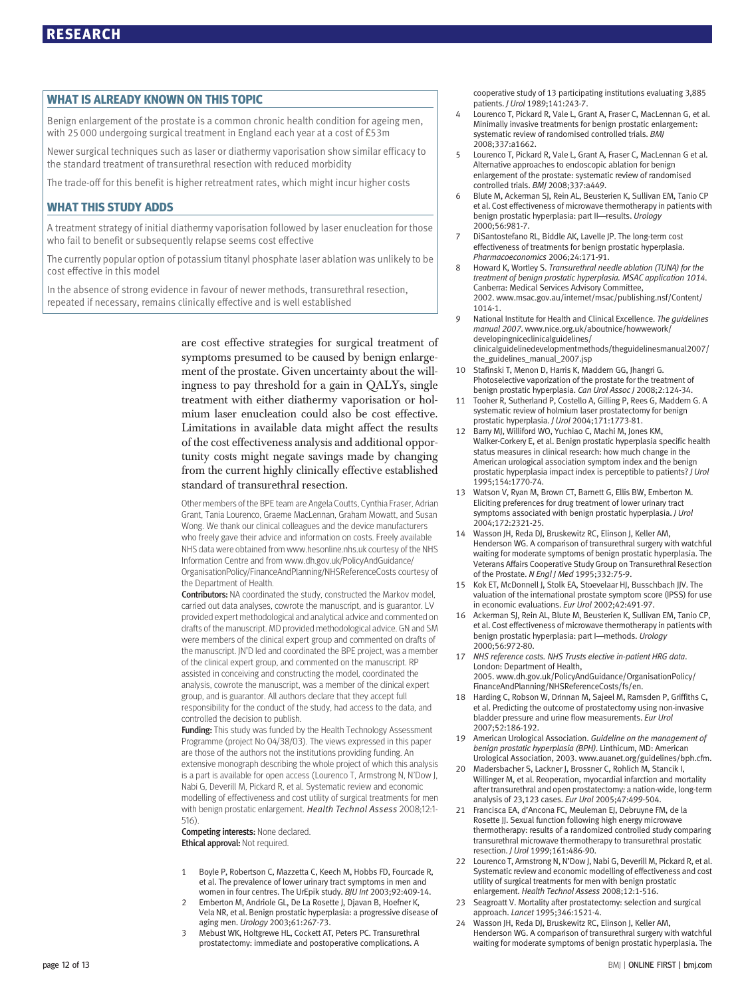#### WHAT IS ALREADY KNOWN ON THIS TOPIC

Benign enlargement of the prostate is a common chronic health condition for ageing men, with 25 000 undergoing surgical treatment in England each year at a cost of £53m

Newer surgical techniques such as laser or diathermy vaporisation show similar efficacy to the standard treatment of transurethral resection with reduced morbidity

The trade-off for this benefit is higher retreatment rates, which might incur higher costs

#### WHAT THIS STUDY ADDS

A treatment strategy of initial diathermy vaporisation followed by laser enucleation for those who fail to benefit or subsequently relapse seems cost effective

The currently popular option of potassium titanyl phosphate laser ablation was unlikely to be cost effective in this model

In the absence of strong evidence in favour of newer methods, transurethral resection, repeated if necessary, remains clinically effective and is well established

> are cost effective strategies for surgical treatment of symptoms presumed to be caused by benign enlargement of the prostate. Given uncertainty about the willingness to pay threshold for a gain in QALYs, single treatment with either diathermy vaporisation or holmium laser enucleation could also be cost effective. Limitations in available data might affect the results of the cost effectiveness analysis and additional opportunity costs might negate savings made by changing from the current highly clinically effective established standard of transurethral resection.

> Other members of the BPE team are Angela Coutts, Cynthia Fraser, Adrian Grant, Tania Lourenco, Graeme MacLennan, Graham Mowatt, and Susan Wong. We thank our clinical colleagues and the device manufacturers who freely gave their advice and information on costs. Freely available NHS data were obtained from www.hesonline.nhs.uk courtesy of the NHS Information Centre and from www.dh.gov.uk/PolicyAndGuidance/ OrganisationPolicy/FinanceAndPlanning/NHSReferenceCosts courtesy of the Department of Health.

> Contributors: NA coordinated the study, constructed the Markov model, carried out data analyses, cowrote the manuscript, and is guarantor. LV provided expert methodological and analytical advice and commented on drafts of the manuscript. MD provided methodological advice. GN and SM were members of the clinical expert group and commented on drafts of the manuscript. JN'D led and coordinated the BPE project, was a member of the clinical expert group, and commented on the manuscript. RP assisted in conceiving and constructing the model, coordinated the analysis, cowrote the manuscript, was a member of the clinical expert group, and is guarantor. All authors declare that they accept full responsibility for the conduct of the study, had access to the data, and controlled the decision to publish.

> Funding: This study was funded by the Health Technology Assessment Programme (project No 04/38/03). The views expressed in this paper are those of the authors not the institutions providing funding. An extensive monograph describing the whole project of which this analysis is a part is available for open access (Lourenco T, Armstrong N, N'Dow J, Nabi G, Deverill M, Pickard R, et al. Systematic review and economic modelling of effectiveness and cost utility of surgical treatments for men with benign prostatic enlargement. Health Technol Assess 2008;12:1- 516).

Competing interests: None declared. Ethical approval: Not required.

- 1 Boyle P, Robertson C, Mazzetta C, Keech M, Hobbs FD, Fourcade R, et al. The prevalence of lower urinary tract symptoms in men and women in four centres. The UrEpik study. BJU Int 2003;92:409-14.
- 2 Emberton M, Andriole GL, De La Rosette J, Djavan B, Hoefner K, Vela NR, et al. Benign prostatic hyperplasia: a progressive disease of aging men. Urology 2003;61:267-73.
- 3 Mebust WK, Holtgrewe HL, Cockett AT, Peters PC. Transurethral prostatectomy: immediate and postoperative complications. A

cooperative study of 13 participating institutions evaluating 3,885 patients. J Urol 1989;141:243-7.

- 4 Lourenco T, Pickard R, Vale L, Grant A, Fraser C, MacLennan G, et al. Minimally invasive treatments for benign prostatic enlargement: systematic review of randomised controlled trials. BMJ 2008;337:a1662.
- 5 Lourenco T, Pickard R, Vale L, Grant A, Fraser C, MacLennan G et al. Alternative approaches to endoscopic ablation for benign enlargement of the prostate: systematic review of randomised controlled trials. BMJ 2008;337:a449.
- 6 Blute M, Ackerman SJ, Rein AL, Beusterien K, Sullivan EM, Tanio CP et al. Cost effectiveness of microwave thermotherapy in patients with benign prostatic hyperplasia: part II—results. Urology 2000;56:981-7.
- 7 DiSantostefano RL, Biddle AK, Lavelle JP. The long-term cost effectiveness of treatments for benign prostatic hyperplasia. Pharmacoeconomics 2006;24:171-91.
- 8 Howard K, Wortley S. Transurethral needle ablation (TUNA) for the treatment of benign prostatic hyperplasia. MSAC application 1014. Canberra: Medical Services Advisory Committee, 2002. www.msac.gov.au/internet/msac/publishing.nsf/Content/ 1014-1.
- 9 National Institute for Health and Clinical Excellence. The guidelines manual 2007. www.nice.org.uk/aboutnice/howwework/ developingniceclinicalguidelines/ clinicalguidelinedevelopmentmethods/theguidelinesmanual2007/
- the\_guidelines\_manual\_2007.jsp 10 Stafinski T, Menon D, Harris K, Maddern GG, Jhangri G. Photoselective vaporization of the prostate for the treatment of benign prostatic hyperplasia. Can Urol Assoc J 2008;2:124-34.
- 11 Tooher R, Sutherland P, Costello A, Gilling P, Rees G, Maddern G. A systematic review of holmium laser prostatectomy for benign prostatic hyperplasia. J Urol 2004;171:1773-81.
- 12 Barry MJ, Williford WO, Yuchiao C, Machi M, Jones KM, Walker-Corkery E, et al. Benign prostatic hyperplasia specific health status measures in clinical research: how much change in the American urological association symptom index and the benign prostatic hyperplasia impact index is perceptible to patients? J Urol 1995;154:1770-74.
- 13 Watson V, Ryan M, Brown CT, Barnett G, Ellis BW, Emberton M. Eliciting preferences for drug treatment of lower urinary tract symptoms associated with benign prostatic hyperplasia. J Urol 2004;172:2321-25.
- 14 Wasson JH, Reda DJ, Bruskewitz RC, Elinson J, Keller AM, Henderson WG. A comparison of transurethral surgery with watchful waiting for moderate symptoms of benign prostatic hyperplasia. The Veterans Affairs Cooperative Study Group on Transurethral Resection of the Prostate. N Engl J Med 1995;332:75-9.
- 15 Kok ET, McDonnell J, Stolk EA, Stoevelaar HJ, Busschbach JJV. The valuation of the international prostate symptom score (IPSS) for use in economic evaluations. Eur Urol 2002;42:491-97.
- 16 Ackerman SJ, Rein AL, Blute M, Beusterien K, Sullivan EM, Tanio CP, et al. Cost effectiveness of microwave thermotherapy in patients with benign prostatic hyperplasia: part I—methods. Urology 2000;56:972-80.
- 17 NHS reference costs. NHS Trusts elective in-patient HRG data. London: Department of Health, 2005. www.dh.gov.uk/PolicyAndGuidance/OrganisationPolicy/ FinanceAndPlanning/NHSReferenceCosts/fs/en.
- Harding C, Robson W, Drinnan M, Sajeel M, Ramsden P, Griffiths C, et al. Predicting the outcome of prostatectomy using non-invasive bladder pressure and urine flow measurements. Eur Urol 2007;52:186-192.
- 19 American Urological Association. Guideline on the management of benign prostatic hyperplasia (BPH). Linthicum, MD: American Urological Association, 2003. www.auanet.org/guidelines/bph.cfm.
- 20 Madersbacher S, Lackner J, Brossner C, Rohlich M, Stancik I, Willinger M, et al. Reoperation, myocardial infarction and mortality after transurethral and open prostatectomy: a nation-wide, long-term analysis of 23,123 cases. Eur Urol 2005;47:499-504.
- 21 Francisca EA, d'Ancona FC, Meuleman EJ, Debruyne FM, de la Rosette JJ. Sexual function following high energy microwave thermotherapy: results of a randomized controlled study comparing transurethral microwave thermotherapy to transurethral prostatic resection. J Urol 1999;161:486-90.
- 22 Lourenco T, Armstrong N, N'Dow J, Nabi G, Deverill M, Pickard R, et al. Systematic review and economic modelling of effectiveness and cost utility of surgical treatments for men with benign prostatic enlargement. Health Technol Assess 2008;12:1-516.
- 23 Seagroatt V. Mortality after prostatectomy: selection and surgical approach. Lancet 1995;346:1521-4.
- Wasson JH, Reda DJ, Bruskewitz RC, Elinson J, Keller AM, Henderson WG. A comparison of transurethral surgery with watchful waiting for moderate symptoms of benign prostatic hyperplasia. The